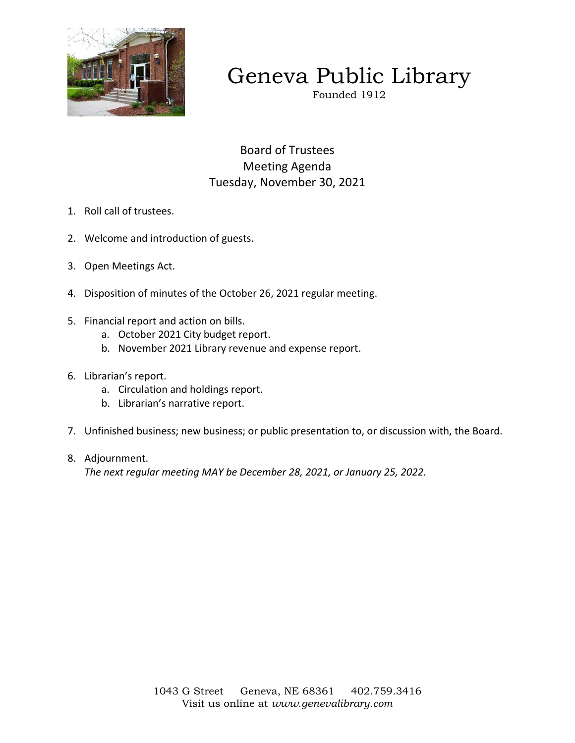

# Geneva Public Library

Founded 1912

Board of Trustees Meeting Agenda Tuesday, November 30, 2021

- 1. Roll call of trustees.
- 2. Welcome and introduction of guests.
- 3. Open Meetings Act.
- 4. Disposition of minutes of the October 26, 2021 regular meeting.
- 5. Financial report and action on bills.
	- a. October 2021 City budget report.
	- b. November 2021 Library revenue and expense report.
- 6. Librarian's report.
	- a. Circulation and holdings report.
	- b. Librarian's narrative report.
- 7. Unfinished business; new business; or public presentation to, or discussion with, the Board.
- 8. Adjournment.

*The next regular meeting MAY be December 28, 2021, or January 25, 2022.*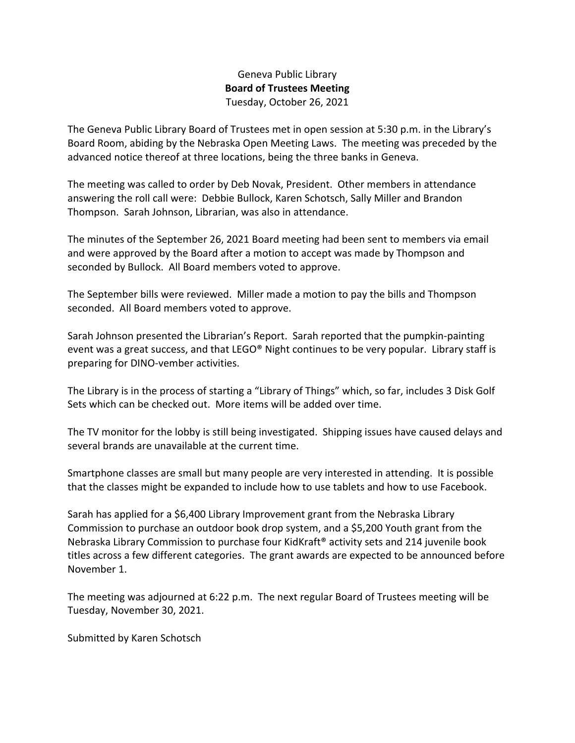## Geneva Public Library **Board of Trustees Meeting**  Tuesday, October 26, 2021

The Geneva Public Library Board of Trustees met in open session at 5:30 p.m. in the Library's Board Room, abiding by the Nebraska Open Meeting Laws. The meeting was preceded by the advanced notice thereof at three locations, being the three banks in Geneva.

The meeting was called to order by Deb Novak, President. Other members in attendance answering the roll call were: Debbie Bullock, Karen Schotsch, Sally Miller and Brandon Thompson. Sarah Johnson, Librarian, was also in attendance.

The minutes of the September 26, 2021 Board meeting had been sent to members via email and were approved by the Board after a motion to accept was made by Thompson and seconded by Bullock. All Board members voted to approve.

The September bills were reviewed. Miller made a motion to pay the bills and Thompson seconded. All Board members voted to approve.

Sarah Johnson presented the Librarian's Report. Sarah reported that the pumpkin-painting event was a great success, and that LEGO® Night continues to be very popular. Library staff is preparing for DINO-vember activities.

The Library is in the process of starting a "Library of Things" which, so far, includes 3 Disk Golf Sets which can be checked out. More items will be added over time.

The TV monitor for the lobby is still being investigated. Shipping issues have caused delays and several brands are unavailable at the current time.

Smartphone classes are small but many people are very interested in attending. It is possible that the classes might be expanded to include how to use tablets and how to use Facebook.

Sarah has applied for a \$6,400 Library Improvement grant from the Nebraska Library Commission to purchase an outdoor book drop system, and a \$5,200 Youth grant from the Nebraska Library Commission to purchase four KidKraft® activity sets and 214 juvenile book titles across a few different categories. The grant awards are expected to be announced before November 1.

The meeting was adjourned at 6:22 p.m. The next regular Board of Trustees meeting will be Tuesday, November 30, 2021.

Submitted by Karen Schotsch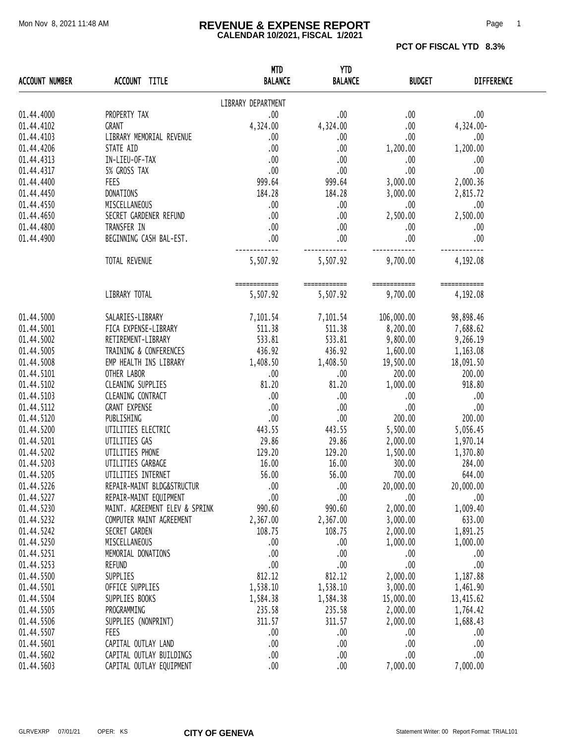#### Mon Nov 8, 2021 11:48 AM **REVENUE & EXPENSE REPORT** Page 1 **CALENDAR 10/2021, FISCAL 1/2021**

**PCT OF FISCAL YTD 8.3%** 

| <b>ACCOUNT NUMBER</b> | ACCOUNT TITLE                  | <b>MTD</b><br><b>BALANCE</b>                  | <b>YTD</b><br><b>BALANCE</b> | <b>BUDGET</b>                          | <b>DIFFERENCE</b> |
|-----------------------|--------------------------------|-----------------------------------------------|------------------------------|----------------------------------------|-------------------|
|                       |                                | LIBRARY DEPARTMENT                            |                              |                                        |                   |
| 01.44.4000            | PROPERTY TAX                   | .00                                           | .00.                         | .00.                                   | .00               |
| 01.44.4102            | GRANT                          | 4,324.00                                      | 4,324.00                     | .00.                                   | 4,324.00-         |
| 01.44.4103            | LIBRARY MEMORIAL REVENUE       | .00                                           | .00.                         | .00.                                   | .00               |
| 01.44.4206            | STATE AID                      | .00                                           | .00                          | 1,200.00                               | 1,200.00          |
| 01.44.4313            | IN-LIEU-OF-TAX                 | .00                                           | .00.                         | .00                                    | .00               |
| 01.44.4317            | 5% GROSS TAX                   | .00.                                          | .00.                         | .00                                    | .00               |
| 01.44.4400            | FEES                           | 999.64                                        | 999.64                       | 3,000.00                               | 2,000.36          |
| 01.44.4450            | DONATIONS                      | 184.28                                        | 184.28                       | 3,000.00                               | 2,815.72          |
| 01.44.4550            | MISCELLANEOUS                  | $\overline{0}$ .                              | .00.                         | .00.                                   | .00               |
| 01.44.4650            | SECRET GARDENER REFUND         | $\sim$ 00                                     | .00.                         | 2,500.00                               | 2,500.00          |
| 01.44.4800            | TRANSFER IN                    | $\sim$ 00                                     | .00                          | .00                                    | .00               |
| 01.44.4900            | BEGINNING CASH BAL-EST.        | .00                                           | .00                          | .00.                                   | .00               |
|                       |                                |                                               |                              |                                        |                   |
|                       | TOTAL REVENUE                  | 5,507.92                                      | 5,507.92                     | 9,700.00                               | 4,192.08          |
|                       |                                | ============    ===========                   |                              | ===========                            | ============      |
|                       | LIBRARY TOTAL                  | 5,507.92                                      | 5,507.92                     | 9,700.00                               | 4,192.08          |
| 01.44.5000            | SALARIES-LIBRARY               |                                               |                              | 7,101.54 7,101.54 106,000.00 98,898.46 |                   |
| 01.44.5001            | FICA EXPENSE-LIBRARY           |                                               |                              | 511.38 511.38 8,200.00 7,688.62        |                   |
| 01.44.5002            | RETIREMENT-LIBRARY             | 533.81                                        |                              | 533.81 9,800.00 9,266.19               |                   |
| 01.44.5005            | TRAINING & CONFERENCES         |                                               |                              | 436.92 436.92 1,600.00 1,163.08        |                   |
| 01.44.5008            | EMP HEALTH INS LIBRARY         | $1,408.50$ $1,408.50$ $19,500.00$ $18,091.50$ |                              |                                        |                   |
| 01.44.5101            | OTHER LABOR                    | .00                                           | .00.                         | 200.00                                 | 200.00            |
| 01.44.5102            | CLEANING SUPPLIES              | 81.20                                         | 81.20                        | 1,000.00                               | 918.80            |
| 01.44.5103            | CLEANING CONTRACT              | .00                                           | .00.                         | .00                                    | .00               |
| 01.44.5112            | <b>GRANT EXPENSE</b>           | .00                                           | .00.                         | .00                                    | .00               |
| 01.44.5120            | PUBLISHING                     | .00                                           | .00.                         | 200.00                                 | 200.00            |
| 01.44.5200            | UTILITIES ELECTRIC             | 443.55                                        | 443.55                       | 5,500.00 5,056.45                      |                   |
| 01.44.5201            | UTILITIES GAS                  | 29.86                                         |                              | 29.86 2,000.00                         | 1,970.14          |
| 01.44.5202            | UTILITIES PHONE                | 129.20                                        |                              | 1,500.00 1,370.80                      |                   |
| 01.44.5203            | UTILITIES GARBAGE              | 16.00                                         | 16.00                        | 300.00                                 | 284.00            |
| 01.44.5205            | UTILITIES INTERNET             | 56.00                                         | 56.00                        | 700.00                                 | 644.00            |
| 01.44.5226            | REPAIR-MAINT BLDG&STRUCTUR     | .00                                           | .00                          | 20,000.00                              | 20,000.00         |
| 01.44.5227            | REPAIR-MAINT EQUIPMENT         | .00                                           | .00                          | .00                                    | .00               |
| 01.44.5230            | MAINT. AGREEMENT ELEV & SPRINK | 990.60                                        | 990.60                       | 2,000.00                               | 1,009.40          |
| 01.44.5232            | COMPUTER MAINT AGREEMENT       | 2,367.00                                      | 2,367.00                     | 3,000.00                               | 633.00            |
| 01.44.5242            | SECRET GARDEN                  | 108.75                                        | 108.75                       | 2,000.00                               | 1,891.25          |
| 01.44.5250            | MISCELLANEOUS                  | .00                                           | 00.                          | 1,000.00                               | 1,000.00          |
| 01.44.5251            | MEMORIAL DONATIONS             | .00                                           | .00.                         | .00                                    | .00               |
| 01.44.5253            | REFUND                         | .00                                           | .00                          | .00                                    | .00               |
| 01.44.5500            | SUPPLIES                       | 812.12                                        | 812.12                       | 2,000.00                               | 1,187.88          |
| 01.44.5501            | OFFICE SUPPLIES                | 1,538.10                                      | 1,538.10                     | 3,000.00                               | 1,461.90          |
| 01.44.5504            | SUPPLIES BOOKS                 | 1,584.38                                      | 1,584.38                     | 15,000.00                              | 13, 415.62        |
| 01.44.5505            | PROGRAMMING                    | 235.58                                        | 235.58                       | 2,000.00                               | 1,764.42          |
| 01.44.5506            | SUPPLIES (NONPRINT)            | 311.57                                        | 311.57                       | 2,000.00                               | 1,688.43          |
| 01.44.5507            | FEES                           | .00                                           | .00.                         | .00                                    | .00               |
| 01.44.5601            | CAPITAL OUTLAY LAND            | .00                                           | .00.                         | .00                                    | .00               |
| 01.44.5602            | CAPITAL OUTLAY BUILDINGS       | .00                                           | .00                          | .00                                    | .00               |
| 01.44.5603            | CAPITAL OUTLAY EQUIPMENT       | .00                                           | .00.                         | 7,000.00                               | 7,000.00          |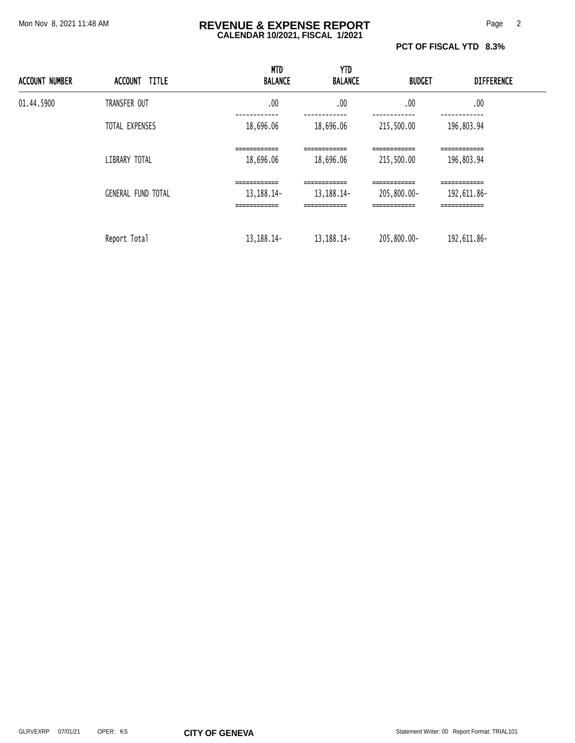#### Mon Nov 8, 2021 11:48 AM **REVENUE & EXPENSE REPORT** Page 2 **CALENDAR 10/2021, FISCAL 1/2021**

**PCT OF FISCAL YTD 8.3%** 

| <b>ACCOUNT NUMBER</b> | <b>TITLE</b><br>ACCOUNT   | <b>MTD</b><br><b>BALANCE</b>                  | <b>YTD</b><br><b>BALANCE</b>                 | <b>BUDGET</b>                               | <b>DIFFERENCE</b>                            |  |
|-----------------------|---------------------------|-----------------------------------------------|----------------------------------------------|---------------------------------------------|----------------------------------------------|--|
| 01.44.5900            | TRANSFER OUT              | .00                                           | .00                                          | .00                                         | .00                                          |  |
|                       | TOTAL EXPENSES            | 18,696.06                                     | 18,696.06                                    | 215,500.00                                  | 196,803.94                                   |  |
|                       | LIBRARY TOTAL             | ============<br>18,696.06                     | ------------<br>___________<br>18,696.06     | ------------<br>215,500.00                  | ============<br>196,803.94                   |  |
|                       | <b>GENERAL FUND TOTAL</b> | ============<br>13, 188. 14 -<br>============ | ------------<br>13, 188. 14-<br>============ | ------------<br>205,800.00-<br>============ | =============<br>192,611.86-<br>============ |  |
|                       | Report Total              | 13, 188. 14-                                  | 13, 188. 14 -                                | 205,800.00-                                 | 192,611.86-                                  |  |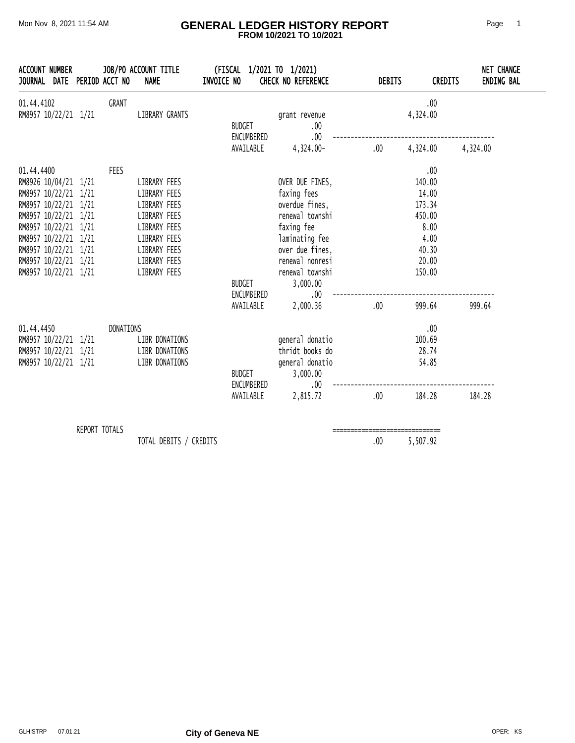#### Mon Nov 8, 2021 11:54 AM **GENERAL LEDGER HISTORY REPORT** Page 1  **FROM 10/2021 TO 10/2021**

| JOURNAL DATE PERIOD ACCT NO<br><b>NAME</b>                                                                                                                                                                                                                                                                                                                                                 | INVOICE NO<br>CHECK NO REFERENCE                                                                                                                                                                        | <b>DEBITS</b>                  | <b>NET CHANGE</b><br><b>ENDING BAL</b><br><b>CREDITS</b>                               |
|--------------------------------------------------------------------------------------------------------------------------------------------------------------------------------------------------------------------------------------------------------------------------------------------------------------------------------------------------------------------------------------------|---------------------------------------------------------------------------------------------------------------------------------------------------------------------------------------------------------|--------------------------------|----------------------------------------------------------------------------------------|
| 01.44.4102<br><b>GRANT</b><br>LIBRARY GRANTS<br>RM8957 10/22/21 1/21                                                                                                                                                                                                                                                                                                                       | grant revenue<br><b>BUDGET</b><br>.00<br>ENCUMBERED<br>.00                                                                                                                                              |                                | .00<br>4,324.00                                                                        |
|                                                                                                                                                                                                                                                                                                                                                                                            | AVAILABLE<br>4,324.00-                                                                                                                                                                                  | $.00 \,$                       | 4,324.00<br>4,324.00                                                                   |
| FEES<br>01.44.4400<br>RM8926 10/04/21 1/21<br>LIBRARY FEES<br>RM8957 10/22/21 1/21<br>LIBRARY FEES<br>RM8957 10/22/21 1/21<br>LIBRARY FEES<br>RM8957 10/22/21 1/21<br>LIBRARY FEES<br>RM8957 10/22/21 1/21<br>LIBRARY FEES<br>RM8957 10/22/21 1/21<br>LIBRARY FEES<br>RM8957 10/22/21 1/21<br>LIBRARY FEES<br>RM8957 10/22/21 1/21<br>LIBRARY FEES<br>RM8957 10/22/21 1/21<br>LIBRARY FEES | OVER DUE FINES,<br>faxing fees<br>overdue fines,<br>renewal townshi<br>faxing fee<br>laminating fee<br>over due fines,<br>renewal nonresi<br>renewal townshi<br><b>BUDGET</b><br>3,000.00<br>ENCUMBERED | .00.                           | .00<br>140.00<br>14.00<br>173.34<br>450.00<br>8.00<br>4.00<br>40.30<br>20.00<br>150.00 |
|                                                                                                                                                                                                                                                                                                                                                                                            | AVAILABLE<br>2,000.36                                                                                                                                                                                   | .00                            | 999.64<br>999.64                                                                       |
| 01.44.4450<br>DONATIONS<br>RM8957 10/22/21 1/21<br>LIBR DONATIONS<br>RM8957 10/22/21 1/21<br>LIBR DONATIONS<br>LIBR DONATIONS<br>RM8957 10/22/21 1/21                                                                                                                                                                                                                                      | general donatio<br>thridt books do<br>general donatio<br><b>BUDGET</b><br>3,000.00<br>ENCUMBERED<br>AVAILABLE<br>2,815.72                                                                               | .00.<br>$.00 \,$               | .00<br>100.69<br>28.74<br>54.85<br>184.28<br>184.28                                    |
| REPORT TOTALS                                                                                                                                                                                                                                                                                                                                                                              |                                                                                                                                                                                                         | ------------------------------ |                                                                                        |

TOTAL DEBITS / CREDITS 6 00 5,507.92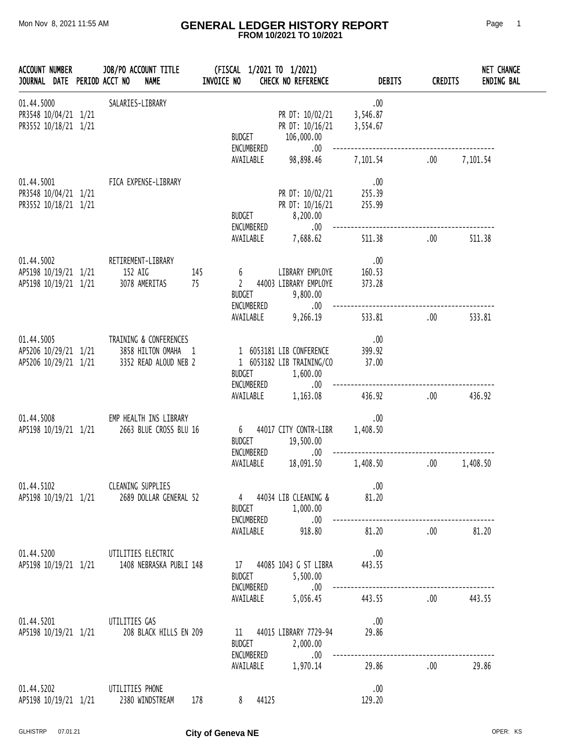#### Mon Nov 8, 2021 11:55 AM **GENERAL LEDGER HISTORY REPORT** Page 1  **FROM 10/2021 TO 10/2021**

| <b>ACCOUNT NUMBER</b><br>JOURNAL DATE PERIOD ACCT NO       |  | JOB/PO ACCOUNT TITLE<br><b>NAME</b>                                           | INVOICE NO |                                    |                             | (FISCAL 1/2021 TO 1/2021)<br><b>CHECK NO REFERENCE</b>            | <b>DEBITS</b>               | <b>CREDITS</b> | <b>NET CHANGE</b><br><b>ENDING BAL</b> |
|------------------------------------------------------------|--|-------------------------------------------------------------------------------|------------|------------------------------------|-----------------------------|-------------------------------------------------------------------|-----------------------------|----------------|----------------------------------------|
| 01.44.5000<br>PR3548 10/04/21 1/21<br>PR3552 10/18/21 1/21 |  | SALARIES-LIBRARY                                                              |            | <b>BUDGET</b>                      | ENCUMBERED                  | PR DT: 10/02/21<br>PR DT: 10/16/21<br>106,000.00<br>.00           | .00<br>3,546.87<br>3,554.67 |                |                                        |
|                                                            |  |                                                                               |            |                                    | AVAILABLE                   | 98,898.46                                                         | 7,101.54                    | .00            | 7,101.54                               |
| 01.44.5001<br>PR3548 10/04/21 1/21<br>PR3552 10/18/21 1/21 |  | FICA EXPENSE-LIBRARY                                                          |            | <b>BUDGET</b>                      | ENCUMBERED                  | PR DT: 10/02/21<br>PR DT: 10/16/21<br>8,200.00<br>.00             | .00<br>255.39<br>255.99     |                |                                        |
|                                                            |  |                                                                               |            |                                    | AVAILABLE                   | 7,688.62                                                          | 511.38                      | .00            | 511.38                                 |
| 01.44.5002<br>AP5198 10/19/21 1/21<br>AP5198 10/19/21 1/21 |  | RETIREMENT-LIBRARY<br>152 AIG<br>3078 AMERITAS                                | 145<br>75  | 6<br>$\mathbf{2}$<br><b>BUDGET</b> | ENCUMBERED                  | LIBRARY EMPLOYE<br>44003 LIBRARY EMPLOYE<br>9,800.00<br>.00.      | .00<br>160.53<br>373.28     |                |                                        |
|                                                            |  |                                                                               |            |                                    | AVAILABLE                   | 9,266.19                                                          | 533.81                      | .00            | 533.81                                 |
| 01.44.5005<br>AP5206 10/29/21 1/21<br>AP5206 10/29/21 1/21 |  | TRAINING & CONFERENCES<br>3858 HILTON OMAHA 1<br>3352 READ ALOUD NEB 2        |            | BUDGET                             | ENCUMBERED                  | 1 6053181 LIB CONFERENCE<br>1 6053182 LIB TRAINING/CO<br>1,600.00 | .00<br>399.92<br>37.00      |                |                                        |
|                                                            |  |                                                                               |            |                                    | AVAILABLE                   | .00.<br>1,163.08                                                  | 436.92                      | .00            | 436.92                                 |
| 01.44.5008<br>AP5198 10/19/21 1/21                         |  | EMP HEALTH INS LIBRARY<br>2663 BLUE CROSS BLU 16                              |            | 6 <sup>6</sup><br><b>BUDGET</b>    | ENCUMBERED                  | 44017 CITY CONTR-LIBR<br>19,500.00<br>.00                         | .00<br>1,408.50             |                |                                        |
|                                                            |  |                                                                               |            |                                    | AVAILABLE                   | 18,091.50                                                         | 1,408.50                    | .00            | 1,408.50                               |
| 01.44.5102                                                 |  | CLEANING SUPPLIES<br>AP5198 10/19/21 1/21 2689 DOLLAR GENERAL 52              |            |                                    |                             | 4 44034 LIB CLEANING &<br>BUDGET 1,000.00                         | .00<br>81.20                |                |                                        |
|                                                            |  |                                                                               |            |                                    | ENCUMBERED                  | .00<br>AVAILABLE 918.80                                           | 81.20                       | .00            | 81.20                                  |
|                                                            |  | 01.44.5200 UTILITIES ELECTRIC<br>AP5198 10/19/21 1/21 1408 NEBRASKA PUBLI 148 |            |                                    | <b>BUDGET</b>               | 17 44085 1043 G ST LIBRA<br>5,500.00                              | .00<br>443.55               |                |                                        |
|                                                            |  |                                                                               |            |                                    | ENCUMBERED<br>AVAILABLE     | .00<br>5,056.45                                                   | 443.55                      | .00.           | 443.55                                 |
|                                                            |  | 01.44.5201 UTILITIES GAS<br>AP5198 10/19/21 1/21 208 BLACK HILLS EN 209       |            |                                    | <b>BUDGET</b><br>ENCUMBERED | 11 44015 LIBRARY 7729-94<br>2,000.00<br>.00                       | .00<br>29.86                |                |                                        |
|                                                            |  |                                                                               |            |                                    |                             | AVAILABLE 1,970.14                                                | 29.86                       | .00.           | 29.86                                  |
| 01.44.5202<br>AP5198 10/19/21 1/21                         |  | UTILITIES PHONE<br>2380 WINDSTREAM                                            | 178        | 8                                  | 44125                       |                                                                   | .00<br>129.20               |                |                                        |

GLHISTRP 07.01.21 **City of Geneva NE CHISTRP 07.01.21**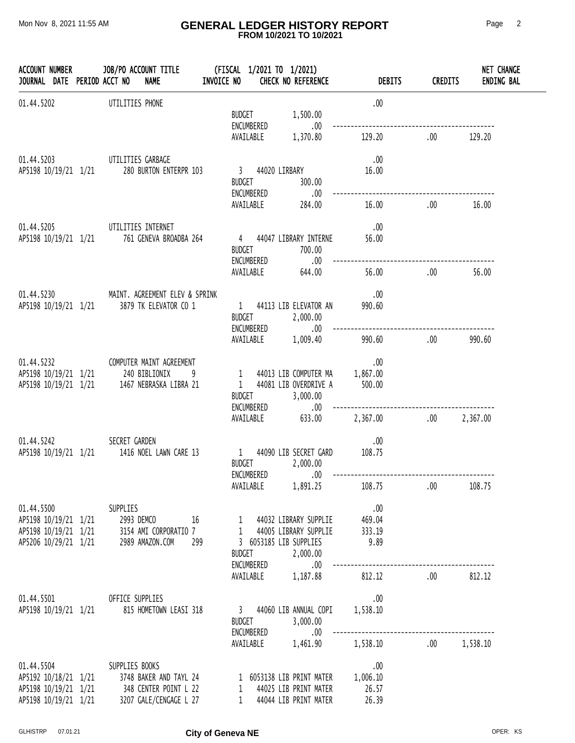#### Mon Nov 8, 2021 11:55 AM **GENERAL LEDGER HISTORY REPORT** Page 2  **FROM 10/2021 TO 10/2021**

| JOURNAL DATE PERIOD ACCT NO                                | ACCOUNT NUMBER JOB/PO ACCOUNT TITLE<br><b>NAME</b>                                     | (FISCAL 1/2021 TO 1/2021)<br>INVOICE NO<br><b>CHECK NO REFERENCE</b>                                  | <b>DEBITS</b>            | <b>CREDITS</b> | NET CHANGE<br><b>ENDING BAL</b> |
|------------------------------------------------------------|----------------------------------------------------------------------------------------|-------------------------------------------------------------------------------------------------------|--------------------------|----------------|---------------------------------|
| 01.44.5202                                                 | UTILITIES PHONE                                                                        | <b>BUDGET</b><br>1,500.00<br>ENCUMBERED<br>.00.                                                       | .00                      |                |                                 |
|                                                            |                                                                                        | AVAILABLE<br>1,370.80                                                                                 | 129.20                   | .00            | 129.20                          |
|                                                            | 01.44.5203 UTILITIES GARBAGE<br>AP5198 10/19/21 1/21 280 BURTON ENTERPR 103            | 3 44020 LIRBARY<br>BUDGET<br>300.00                                                                   | .00<br>16.00             |                |                                 |
|                                                            |                                                                                        | ENCUMBERED<br>.00<br>AVAILABLE 284.00                                                                 | 16.00                    | .00            | 16.00                           |
|                                                            | 01.44.5205 UTILITIES INTERNET                                                          |                                                                                                       | .00                      |                |                                 |
|                                                            | AP5198 10/19/21 1/21 761 GENEVA BROADBA 264                                            | 4 44047 LIBRARY INTERNE<br>BUDGET<br>700.00<br>ENCUMBERED<br>.00                                      | 56.00                    |                |                                 |
|                                                            |                                                                                        | AVAILABLE<br>644.00                                                                                   | 56.00                    | .00            | 56.00                           |
|                                                            | 01.44.5230 MAINT. AGREEMENT ELEV & SPRINK                                              |                                                                                                       | .00                      |                |                                 |
|                                                            | AP5198 10/19/21 1/21 3879 TK ELEVATOR CO 1                                             | 1 44113 LIB ELEVATOR AN<br>BUDGET 2,000.00<br>ENCUMBERED<br>$.00\,$                                   | 990.60                   |                |                                 |
|                                                            |                                                                                        | AVAILABLE<br>1,009.40                                                                                 | 990.60                   | .00            | 990.60                          |
|                                                            | 01.44.5232 COMPUTER MAINT AGREEMENT                                                    |                                                                                                       | .00                      |                |                                 |
|                                                            | AP5198 10/19/21 1/21 240 BIBLIONIX<br>9<br>AP5198 10/19/21 1/21 1467 NEBRASKA LIBRA 21 | 1 44013 LIB COMPUTER MA<br>1 44081 LIB OVERDRIVE A<br><b>BUDGET</b><br>3,000.00<br>ENCUMBERED<br>.00. | 1,867.00<br>500.00       |                |                                 |
|                                                            |                                                                                        | 633.00<br>AVAILABLE                                                                                   | 2,367.00                 | .00 2,367.00   |                                 |
| 01.44.5242                                                 | SECRET GARDEN<br>AP5198 10/19/21 1/21 1416 NOEL LAWN CARE 13                           | 1 44090 LIB SECRET GARD<br>BUDGET 2,000.00                                                            | .00<br>108.75            |                |                                 |
|                                                            |                                                                                        | ENCUMBERED .00<br>AVAILABLE<br>1,891.25                                                               | 108.75                   | .00            | 108.75                          |
| 01.44.5500                                                 | SUPPLIES                                                                               |                                                                                                       | .00                      |                |                                 |
| AP5198 10/19/21 1/21<br>AP5198 10/19/21 1/21               | 2993 DEMCO<br>16<br>3154 AMI CORPORATIO 7                                              | 1 44032 LIBRARY SUPPLIE<br>44005 LIBRARY SUPPLIE<br>1                                                 | 469.04<br>333.19         |                |                                 |
| AP5206 10/29/21 1/21                                       | 2989 AMAZON.COM<br>299                                                                 | 3 6053185 LIB SUPPLIES<br><b>BUDGET</b><br>2,000.00<br>ENCUMBERED<br>.00                              | 9.89                     |                |                                 |
|                                                            |                                                                                        | AVAILABLE<br>1,187.88                                                                                 | 812.12                   | .00.           | 812.12                          |
| 01.44.5501                                                 | OFFICE SUPPLIES                                                                        |                                                                                                       | .00                      |                |                                 |
| AP5198 10/19/21 1/21                                       | 815 HOMETOWN LEASI 318                                                                 | 3 44060 LIB ANNUAL COPI<br><b>BUDGET</b><br>3,000.00<br>ENCUMBERED<br>.00                             | 1,538.10                 |                |                                 |
|                                                            |                                                                                        | AVAILABLE<br>1,461.90                                                                                 | 1,538.10                 | .00            | 1,538.10                        |
| 01.44.5504<br>AP5192 10/18/21 1/21<br>AP5198 10/19/21 1/21 | SUPPLIES BOOKS<br>3748 BAKER AND TAYL 24<br>348 CENTER POINT L 22                      | 1 6053138 LIB PRINT MATER<br>44025 LIB PRINT MATER<br>1                                               | .00<br>1,006.10<br>26.57 |                |                                 |
| AP5198 10/19/21 1/21                                       | 3207 GALE/CENGAGE L 27                                                                 | 44044 LIB PRINT MATER                                                                                 | 26.39                    |                |                                 |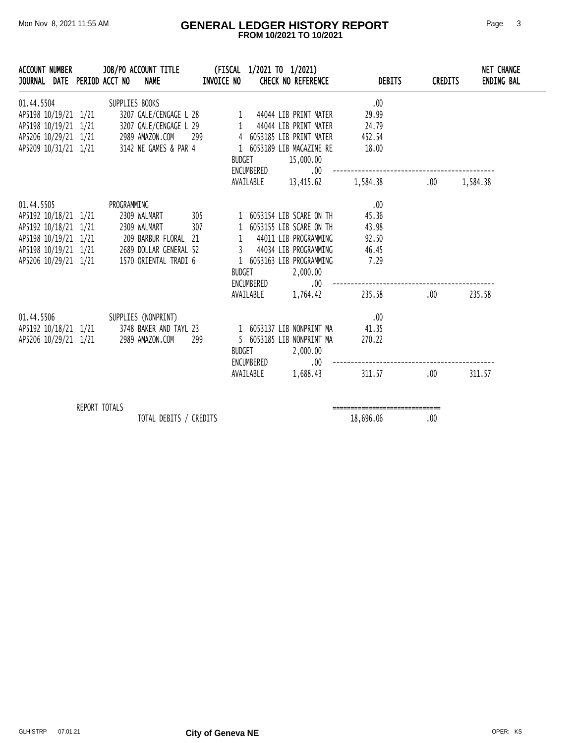#### Mon Nov 8, 2021 11:55 AM **GENERAL LEDGER HISTORY REPORT** Page 3  **FROM 10/2021 TO 10/2021**

| <b>ACCOUNT NUMBER</b><br>JOURNAL DATE PERIOD ACCT NO                                                                                                                                                                                                                 |               |                | JOB/PO ACCOUNT TITLE<br><b>NAME</b>            | (FISCAL 1/2021 TO 1/2021)<br>INVOICE NO |                    |                         | <b>CHECK NO REFERENCE</b>                                                                                                                                                                   | <b>DEBITS</b>                                             | <b>CREDITS</b> | NET CHANGE<br><b>ENDING BAL</b> |
|----------------------------------------------------------------------------------------------------------------------------------------------------------------------------------------------------------------------------------------------------------------------|---------------|----------------|------------------------------------------------|-----------------------------------------|--------------------|-------------------------|---------------------------------------------------------------------------------------------------------------------------------------------------------------------------------------------|-----------------------------------------------------------|----------------|---------------------------------|
| 01.44.5504<br>AP5198 10/19/21 1/21<br>AP5198 10/19/21  1/21  3207 GALE/CENGAGE L 29  1  44044 LIB PRINT MATER<br>AP5206 10/29/21  1/21  2989 AMAZON.COM  299  4  6053185 LIB PRINT MATER<br>AP5209 10/31/21  1/21  3142 NE GAMES & PAR 4  1  6053189 LIB MAGAZINE RE |               | SUPPLIES BOOKS | 3207 GALE/CENGAGE L 28 1 44044 LIB PRINT MATER |                                         | <b>BUDGET</b>      | ENCUMBERED              | 15,000.00<br>.00<br>AVAILABLE 13,415.62                                                                                                                                                     | .00<br>29.99<br>24.79<br>452.54<br>18.00<br>1,584.38      | .00            | 1,584.38                        |
| 01.44.5505<br>AP5192 10/18/21 1/21 2309 WALMART 305<br>AP5192 10/18/21 1/21 2309 WALMART<br>AP5198 10/19/21 1/21 209 BARBUR FLORAL 21<br>AP5198 10/19/21 1/21 2689 DOLLAR GENERAL 52<br>AP5206 10/29/21 1/21 1570 ORIENTAL TRADI 6                                   |               | PROGRAMMING    |                                                | 307                                     | 1<br><b>BUDGET</b> |                         | 1 6053154 LIB SCARE ON TH<br>1 6053155 LIB SCARE ON TH<br>44011 LIB PROGRAMMING<br>3 44034 LIB PROGRAMMING<br>1 6053163 LIB PROGRAMMING<br>2,000.00<br>ENCUMBERED .00<br>AVAILABLE 1,764.42 | .00<br>45.36<br>43.98<br>92.50<br>46.45<br>7.29<br>235.58 | .00.           | 235.58                          |
| 01.44.5506<br>AP5192 10/18/21 1/21 3748 BAKER AND TAYL 23<br>AP5206 10/29/21 1/21                                                                                                                                                                                    |               |                | SUPPLIES (NONPRINT)<br>2989 AMAZON.COM         | 299                                     | BUDGET             | ENCUMBERED<br>AVAILABLE | 1 6053137 LIB NONPRINT MA<br>5 6053185 LIB NONPRINT MA<br>2,000.00<br>$.00\,$<br>1,688.43                                                                                                   | $\ldots$<br>41.35<br>270.22<br>311.57                     | .00            | 311.57                          |
|                                                                                                                                                                                                                                                                      | REPORT TOTALS |                | TOTAL DEBITS / CREDITS                         |                                         |                    |                         |                                                                                                                                                                                             | -------------------------------<br>18,696.06              | .00            |                                 |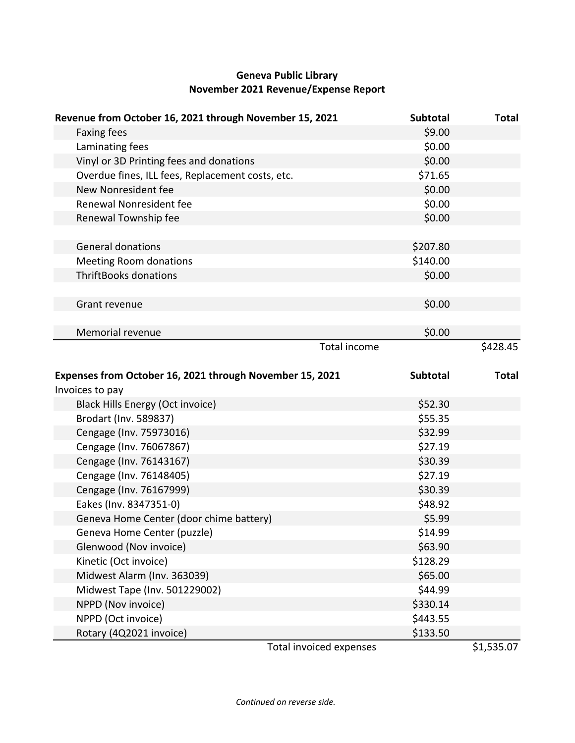# **Geneva Public Library November 2021 Revenue/Expense Report**

| Revenue from October 16, 2021 through November 15, 2021  | Subtotal            | <b>Total</b> |
|----------------------------------------------------------|---------------------|--------------|
| <b>Faxing fees</b>                                       | \$9.00              |              |
| Laminating fees                                          | \$0.00              |              |
| Vinyl or 3D Printing fees and donations                  | \$0.00              |              |
| Overdue fines, ILL fees, Replacement costs, etc.         | \$71.65             |              |
| New Nonresident fee                                      | \$0.00              |              |
| Renewal Nonresident fee                                  | \$0.00              |              |
| Renewal Township fee                                     | \$0.00              |              |
|                                                          |                     |              |
| <b>General donations</b>                                 | \$207.80            |              |
| <b>Meeting Room donations</b>                            | \$140.00            |              |
| <b>ThriftBooks donations</b>                             | \$0.00              |              |
|                                                          |                     |              |
| Grant revenue                                            | \$0.00              |              |
|                                                          |                     |              |
| Memorial revenue                                         | \$0.00              |              |
|                                                          | <b>Total income</b> | \$428.45     |
|                                                          |                     |              |
|                                                          |                     |              |
| Expenses from October 16, 2021 through November 15, 2021 | Subtotal            | <b>Total</b> |
| Invoices to pay                                          |                     |              |
| <b>Black Hills Energy (Oct invoice)</b>                  | \$52.30             |              |
| Brodart (Inv. 589837)                                    | \$55.35             |              |
| Cengage (Inv. 75973016)                                  | \$32.99             |              |
| Cengage (Inv. 76067867)                                  | \$27.19             |              |
| Cengage (Inv. 76143167)                                  | \$30.39             |              |
| Cengage (Inv. 76148405)                                  | \$27.19             |              |
| Cengage (Inv. 76167999)                                  | \$30.39             |              |
| Eakes (Inv. 8347351-0)                                   | \$48.92             |              |
| Geneva Home Center (door chime battery)                  | \$5.99              |              |
| Geneva Home Center (puzzle)                              | \$14.99             |              |
| Glenwood (Nov invoice)                                   | \$63.90             |              |
| Kinetic (Oct invoice)                                    | \$128.29            |              |
| Midwest Alarm (Inv. 363039)                              | \$65.00             |              |
| Midwest Tape (Inv. 501229002)                            | \$44.99             |              |
| NPPD (Nov invoice)                                       | \$330.14            |              |
| NPPD (Oct invoice)                                       | \$443.55            |              |
| Rotary (4Q2021 invoice)                                  | \$133.50            |              |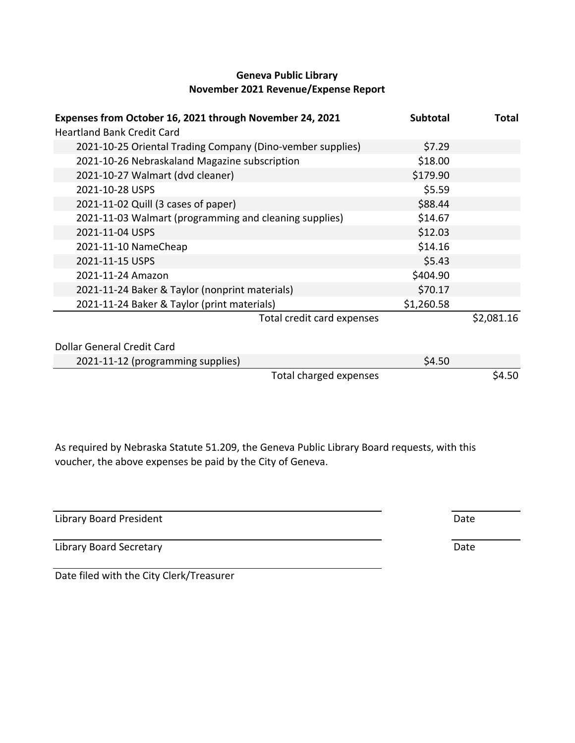## **Geneva Public Library November 2021 Revenue/Expense Report**

| Expenses from October 16, 2021 through November 24, 2021<br><b>Heartland Bank Credit Card</b> | <b>Subtotal</b> | <b>Total</b> |
|-----------------------------------------------------------------------------------------------|-----------------|--------------|
| 2021-10-25 Oriental Trading Company (Dino-vember supplies)                                    | \$7.29          |              |
| 2021-10-26 Nebraskaland Magazine subscription                                                 | \$18.00         |              |
| 2021-10-27 Walmart (dvd cleaner)                                                              | \$179.90        |              |
| 2021-10-28 USPS                                                                               | \$5.59          |              |
| 2021-11-02 Quill (3 cases of paper)                                                           | \$88.44         |              |
| 2021-11-03 Walmart (programming and cleaning supplies)                                        | \$14.67         |              |
| 2021-11-04 USPS                                                                               | \$12.03         |              |
| 2021-11-10 NameCheap                                                                          | \$14.16         |              |
| 2021-11-15 USPS                                                                               | \$5.43          |              |
| 2021-11-24 Amazon                                                                             | \$404.90        |              |
| 2021-11-24 Baker & Taylor (nonprint materials)                                                | \$70.17         |              |
| 2021-11-24 Baker & Taylor (print materials)                                                   | \$1,260.58      |              |
| Total credit card expenses                                                                    |                 | \$2,081.16   |
| Dollar General Credit Card                                                                    |                 |              |
| 2021-11-12 (programming supplies)                                                             | \$4.50          |              |
| Total charged expenses                                                                        |                 | \$4.50       |

As required by Nebraska Statute 51.209, the Geneva Public Library Board requests, with this voucher, the above expenses be paid by the City of Geneva.

Library Board President **Date** 

Library Board Secretary **Date** 

Date filed with the City Clerk/Treasurer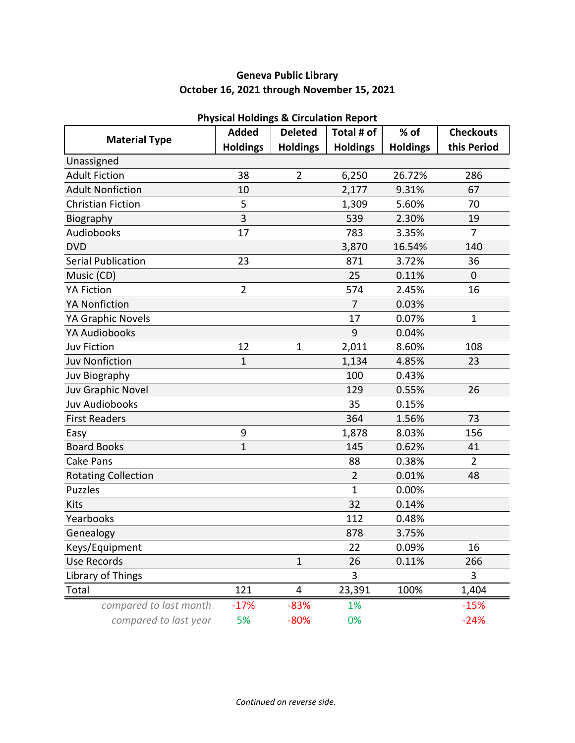# **Geneva Public Library October 16, 2021 through November 15, 2021**

|                            | <b>Added</b>    | n nysical nolungs & circulation Report<br><b>Deleted</b> | Total # of      | % of            | <b>Checkouts</b> |
|----------------------------|-----------------|----------------------------------------------------------|-----------------|-----------------|------------------|
| <b>Material Type</b>       | <b>Holdings</b> | <b>Holdings</b>                                          | <b>Holdings</b> | <b>Holdings</b> | this Period      |
| Unassigned                 |                 |                                                          |                 |                 |                  |
| <b>Adult Fiction</b>       | 38              | $\overline{2}$                                           | 6,250           | 26.72%          | 286              |
| <b>Adult Nonfiction</b>    | 10              |                                                          | 2,177           | 9.31%           | 67               |
| <b>Christian Fiction</b>   | 5               |                                                          | 1,309           | 5.60%           | 70               |
| Biography                  | 3               |                                                          | 539             | 2.30%           | 19               |
| Audiobooks                 | 17              |                                                          | 783             | 3.35%           | 7                |
| <b>DVD</b>                 |                 |                                                          | 3,870           | 16.54%          | 140              |
| <b>Serial Publication</b>  | 23              |                                                          | 871             | 3.72%           | 36               |
| Music (CD)                 |                 |                                                          | 25              | 0.11%           | $\mathbf 0$      |
| <b>YA Fiction</b>          | $\overline{2}$  |                                                          | 574             | 2.45%           | 16               |
| <b>YA Nonfiction</b>       |                 |                                                          | $\overline{7}$  | 0.03%           |                  |
| YA Graphic Novels          |                 |                                                          | 17              | 0.07%           | 1                |
| <b>YA Audiobooks</b>       |                 |                                                          | 9               | 0.04%           |                  |
| <b>Juv Fiction</b>         | 12              | $\mathbf 1$                                              | 2,011           | 8.60%           | 108              |
| <b>Juv Nonfiction</b>      | 1               |                                                          | 1,134           | 4.85%           | 23               |
| Juv Biography              |                 |                                                          | 100             | 0.43%           |                  |
| Juv Graphic Novel          |                 |                                                          | 129             | 0.55%           | 26               |
| <b>Juv Audiobooks</b>      |                 |                                                          | 35              | 0.15%           |                  |
| <b>First Readers</b>       |                 |                                                          | 364             | 1.56%           | 73               |
| Easy                       | 9               |                                                          | 1,878           | 8.03%           | 156              |
| <b>Board Books</b>         | $\mathbf{1}$    |                                                          | 145             | 0.62%           | 41               |
| Cake Pans                  |                 |                                                          | 88              | 0.38%           | $\overline{2}$   |
| <b>Rotating Collection</b> |                 |                                                          | $\overline{2}$  | 0.01%           | 48               |
| <b>Puzzles</b>             |                 |                                                          | $\mathbf{1}$    | 0.00%           |                  |
| Kits                       |                 |                                                          | 32              | 0.14%           |                  |
| Yearbooks                  |                 |                                                          | 112             | 0.48%           |                  |
| Genealogy                  |                 |                                                          | 878             | 3.75%           |                  |
| Keys/Equipment             |                 |                                                          | 22              | 0.09%           | 16               |
| <b>Use Records</b>         |                 | $\mathbf{1}$                                             | 26              | 0.11%           | 266              |
| Library of Things          |                 |                                                          | 3               |                 | 3                |
| Total                      | 121             | 4                                                        | 23,391          | 100%            | 1,404            |
| compared to last month     | $-17%$          | $-83%$                                                   | 1%              |                 | $-15%$           |
| compared to last year      | 5%              | $-80%$                                                   | 0%              |                 | $-24%$           |

#### **Physical Holdings & Circulation Report**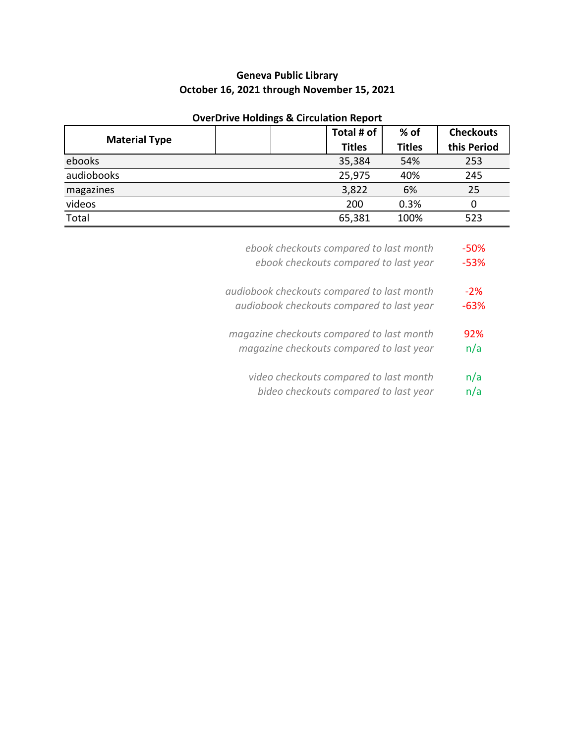# **Geneva Public Library October 16, 2021 through November 15, 2021**

| Total # of    | $%$ of        | <b>Checkouts</b> |
|---------------|---------------|------------------|
| <b>Titles</b> | <b>Titles</b> | this Period      |
| 35,384        | 54%           | 253              |
| 25,975        | 40%           | 245              |
| 3,822         | 6%            | 25               |
| 200           | 0.3%          | 0                |
| 65,381        | 100%          | 523              |
|               |               |                  |

## **OverDrive Holdings & Circulation Report**

| -50%   | ebook checkouts compared to last month     |
|--------|--------------------------------------------|
| $-53%$ | ebook checkouts compared to last year      |
| $-2\%$ | audiobook checkouts compared to last month |
| $-63%$ | audiobook checkouts compared to last year  |
| 92%    | magazine checkouts compared to last month  |
| n/a    | magazine checkouts compared to last year   |
| n/a    | video checkouts compared to last month     |
| n/a    | bideo checkouts compared to last year      |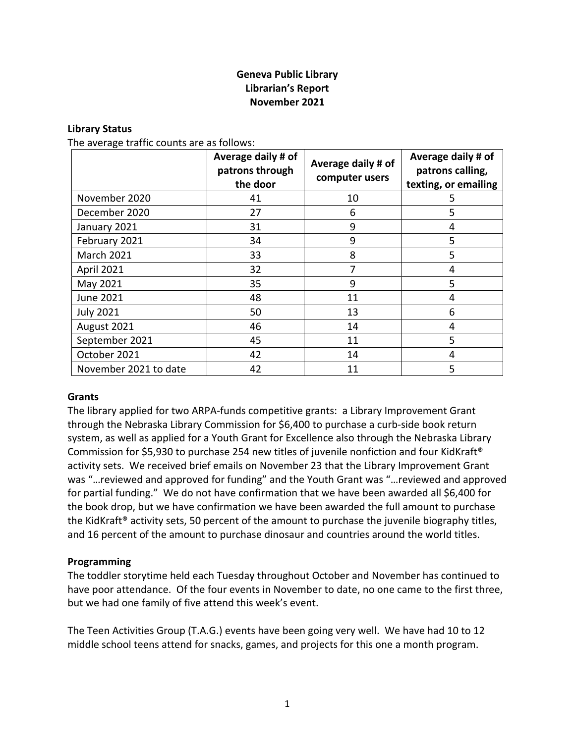## **Geneva Public Library Librarian's Report November 2021**

#### **Library Status**

The average traffic counts are as follows:

|                       | Average daily # of<br>patrons through<br>the door | Average daily # of<br>computer users | Average daily # of<br>patrons calling,<br>texting, or emailing |
|-----------------------|---------------------------------------------------|--------------------------------------|----------------------------------------------------------------|
| November 2020         | 41                                                | 10                                   | 5                                                              |
| December 2020         | 27                                                | 6                                    | 5                                                              |
| January 2021          | 31                                                | 9                                    | 4                                                              |
| February 2021         | 34                                                | 9                                    | 5                                                              |
| <b>March 2021</b>     | 33                                                | 8                                    | 5                                                              |
| <b>April 2021</b>     | 32                                                | 7                                    | 4                                                              |
| May 2021              | 35                                                | 9                                    | 5                                                              |
| <b>June 2021</b>      | 48                                                | 11                                   | 4                                                              |
| <b>July 2021</b>      | 50                                                | 13                                   | 6                                                              |
| August 2021           | 46                                                | 14                                   | 4                                                              |
| September 2021        | 45                                                | 11                                   | 5                                                              |
| October 2021          | 42                                                | 14                                   | 4                                                              |
| November 2021 to date | 42                                                | 11                                   | 5                                                              |

#### **Grants**

The library applied for two ARPA-funds competitive grants: a Library Improvement Grant through the Nebraska Library Commission for \$6,400 to purchase a curb-side book return system, as well as applied for a Youth Grant for Excellence also through the Nebraska Library Commission for \$5,930 to purchase 254 new titles of juvenile nonfiction and four KidKraft® activity sets. We received brief emails on November 23 that the Library Improvement Grant was "…reviewed and approved for funding" and the Youth Grant was "…reviewed and approved for partial funding." We do not have confirmation that we have been awarded all \$6,400 for the book drop, but we have confirmation we have been awarded the full amount to purchase the KidKraft® activity sets, 50 percent of the amount to purchase the juvenile biography titles, and 16 percent of the amount to purchase dinosaur and countries around the world titles.

#### **Programming**

The toddler storytime held each Tuesday throughout October and November has continued to have poor attendance. Of the four events in November to date, no one came to the first three, but we had one family of five attend this week's event.

The Teen Activities Group (T.A.G.) events have been going very well. We have had 10 to 12 middle school teens attend for snacks, games, and projects for this one a month program.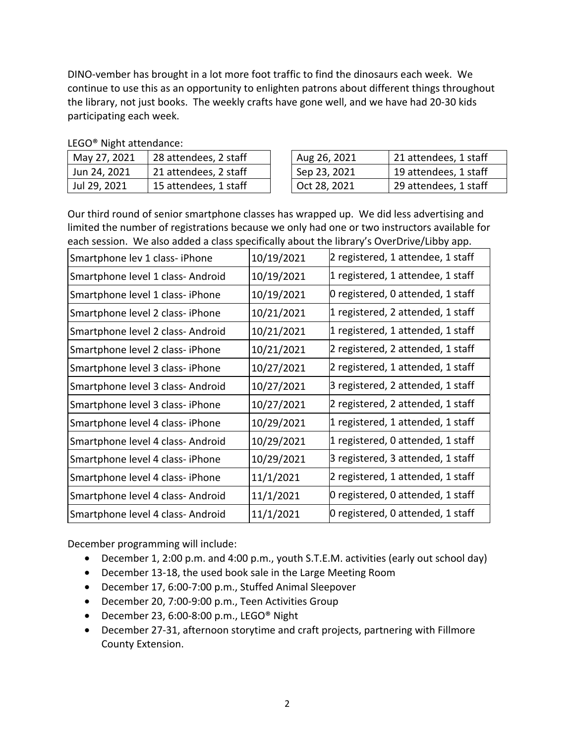DINO-vember has brought in a lot more foot traffic to find the dinosaurs each week. We continue to use this as an opportunity to enlighten patrons about different things throughout the library, not just books. The weekly crafts have gone well, and we have had 20-30 kids participating each week.

|  | May 27, 2021 | 28 attendees, 2 staff |  | Aug 26, 2021 | 21 attendees, 1 staff |  |  |
|--|--------------|-----------------------|--|--------------|-----------------------|--|--|
|  | Jun 24, 2021 | 21 attendees, 2 staff |  | Sep 23, 2021 | 19 attendees, 1 staff |  |  |
|  | Jul 29, 2021 | 15 attendees, 1 staff |  | Oct 28, 2021 | 29 attendees, 1 staff |  |  |

LEGO® Night attendance:

Our third round of senior smartphone classes has wrapped up. We did less advertising and limited the number of registrations because we only had one or two instructors available for each session. We also added a class specifically about the library's OverDrive/Libby app.

| Smartphone lev 1 class- iPhone    | 10/19/2021 | 2 registered, 1 attendee, 1 staff |
|-----------------------------------|------------|-----------------------------------|
| Smartphone level 1 class- Android | 10/19/2021 | 1 registered, 1 attendee, 1 staff |
| Smartphone level 1 class- iPhone  | 10/19/2021 | 0 registered, 0 attended, 1 staff |
| Smartphone level 2 class- iPhone  | 10/21/2021 | 1 registered, 2 attended, 1 staff |
| Smartphone level 2 class- Android | 10/21/2021 | 1 registered, 1 attended, 1 staff |
| Smartphone level 2 class- iPhone  | 10/21/2021 | 2 registered, 2 attended, 1 staff |
| Smartphone level 3 class- iPhone  | 10/27/2021 | 2 registered, 1 attended, 1 staff |
| Smartphone level 3 class- Android | 10/27/2021 | 3 registered, 2 attended, 1 staff |
| Smartphone level 3 class- iPhone  | 10/27/2021 | 2 registered, 2 attended, 1 staff |
| Smartphone level 4 class- iPhone  | 10/29/2021 | 1 registered, 1 attended, 1 staff |
| Smartphone level 4 class- Android | 10/29/2021 | 1 registered, 0 attended, 1 staff |
| Smartphone level 4 class- iPhone  | 10/29/2021 | 3 registered, 3 attended, 1 staff |
| Smartphone level 4 class-iPhone   | 11/1/2021  | 2 registered, 1 attended, 1 staff |
| Smartphone level 4 class- Android | 11/1/2021  | 0 registered, 0 attended, 1 staff |
| Smartphone level 4 class- Android | 11/1/2021  | 0 registered, 0 attended, 1 staff |

December programming will include:

- December 1, 2:00 p.m. and 4:00 p.m., youth S.T.E.M. activities (early out school day)
- December 13-18, the used book sale in the Large Meeting Room
- December 17, 6:00-7:00 p.m., Stuffed Animal Sleepover
- December 20, 7:00-9:00 p.m., Teen Activities Group
- December 23, 6:00-8:00 p.m., LEGO® Night
- December 27-31, afternoon storytime and craft projects, partnering with Fillmore County Extension.